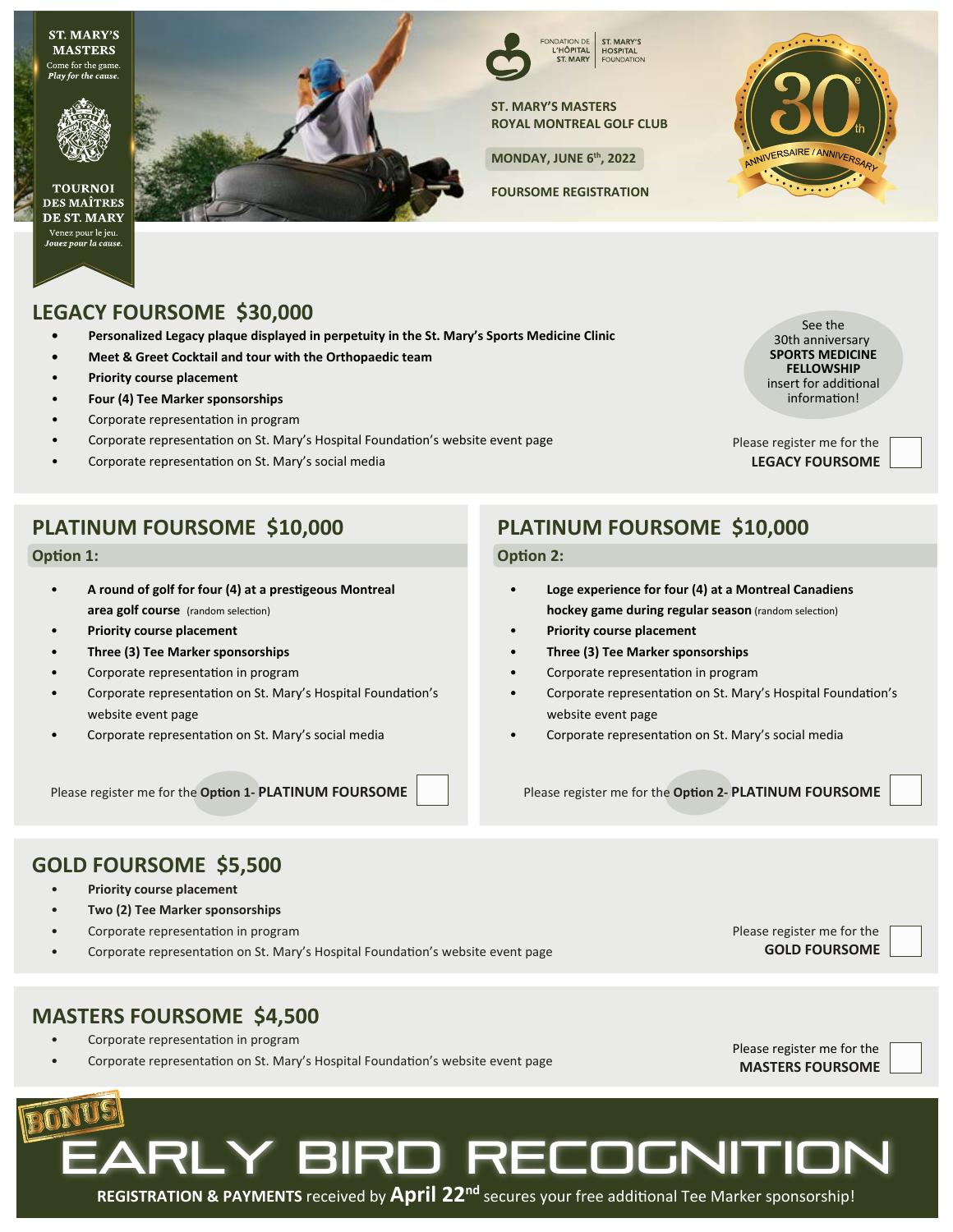**ST. MARY'S MASTERS** Come for the game. Play for the cause.



**TOURNOI DES MAÎTRES** DE ST. MARY Venez pour le jeu.<br>Jouez pour la cause.



FONDATION DE<br>L'HÔPITAL<br>ST. MARY ST. MARY'S **HOSPITAL EQUINDATION** 

**ST. MARY'S MASTERS ROYAL MONTREAL GOLF CLUB**

**MONDAY, JUNE 6th, 2022**

**FOURSOME REGISTRATION**



## **LEGACY FOURSOME \$30,000**

- **Personalized Legacy plaque displayed in perpetuity in the St. Mary's Sports Medicine Clinic**
- **Meet & Greet Cocktail and tour with the Orthopaedic team**
- • **Priority course placement**
- • **Four (4) Tee Marker sponsorships**
- Corporate representation in program
- Corporate representation on St. Mary's Hospital Foundation's website event page
- Corporate representation on St. Mary's social media

See the 30th anniversary **SPORTS MEDICINE FELLOWSHIP** insert for additional information!

**LEGACY FOURSOME** Please register me for the

## **PLATINUM FOURSOME \$10,000**

### **Option 1:**

- • **A round of golf for four (4) at a prestigeous Montreal area golf course** (random selection)
- • **Priority course placement**
- • **Three (3) Tee Marker sponsorships**
- Corporate representation in program
- Corporate representation on St. Mary's Hospital Foundation's website event page
- Corporate representation on St. Mary's social media

Please register me for the **Option 1- PLATINUM FOURSOME** Please register me for the **Option 2- PLATINUM FOURSOME**

## **PLATINUM FOURSOME \$10,000**

#### **Option 2:**

- • **Loge experience for four (4) at a Montreal Canadiens hockey game during regular season** (random selection)
- • **Priority course placement**
- • **Three (3) Tee Marker sponsorships**
- Corporate representation in program
- Corporate representation on St. Mary's Hospital Foundation's website event page
- Corporate representation on St. Mary's social media

## **GOLD FOURSOME \$5,500**

- • **Priority course placement**
- • **Two (2) Tee Marker sponsorships**
- Corporate representation in program
- Corporate representation on St. Mary's Hospital Foundation's website event page **GOLD FOURSOME**

Please register me for the

## **MASTERS FOURSOME \$4,500**

- Corporate representation in program
- Corporate representation on St. Mary's Hospital Foundation's website event page **MASTERS FOURSOME**

Please register me for the



# **ARLY BIRD RECOGNITIO**

**REGISTRATION & PAYMENTS** received by **April 22nd** secures your free additional Tee Marker sponsorship!